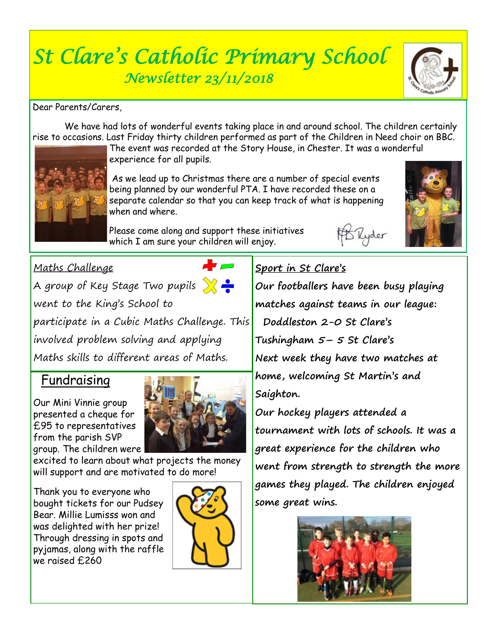# *St Clare's Catholic Primary School Newsletter 23/11/2018*

Dear Parents/Carers,

 We have had lots of wonderful events taking place in and around school. The children certainly rise to occasions. Last Friday thirty children performed as part of the Children in Need choir on BBC.

The event was recorded at the Story House, in Chester. It was a wonderful experience for all pupils.

As we lead up to Christmas there are a number of special events being planned by our wonderful PTA. I have recorded these on a separate calendar so that you can keep track of what is happening when and where.

Please come along and support these initiatives which I am sure your children will enjoy.

 $\blacktriangleright$ 



A group of Key Stage Two pupils  $\sum$ 

went to the King's School to

participate in a Cubic Maths Challenge. This involved problem solving and applying Maths skills to different areas of Maths.

# **Fundraising**

Our Mini Vinnie group presented a cheque for £95 to representatives from the parish SVP group. The children were

excited to learn about what projects the money will support and are motivated to do more!

Thank you to everyone who bought tickets for our Pudsey Bear. Millie Lumisss won and was delighted with her prize! Through dressing in spots and pyjamas, along with the raffle we raised £260



# **Sport in St Clare's**

**Our footballers have been busy playing matches against teams in our league: Doddleston 2-0 St Clare's Tushingham 5– 5 St Clare's Next week they have two matches at home, welcoming St Martin's and Saighton.** 

PD Ryder

**Our hockey players attended a tournament with lots of schools. It was a great experience for the children who went from strength to strength the more games they played. The children enjoyed some great wins.**